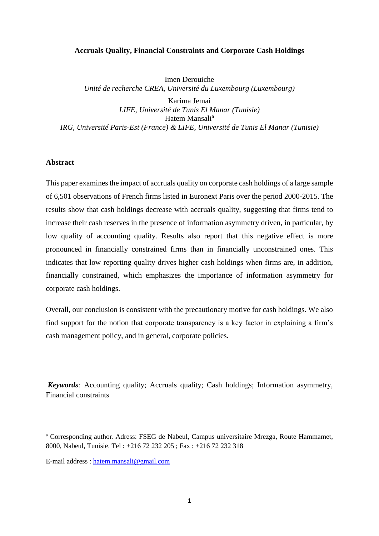### **Accruals Quality, Financial Constraints and Corporate Cash Holdings**

Imen Derouiche *Unité de recherche CREA, Université du Luxembourg (Luxembourg)*

Karima Jemai *LIFE, Université de Tunis El Manar (Tunisie)* Hatem Mansali<sup>a</sup> *IRG, Université Paris-Est (France) & LIFE, Université de Tunis El Manar (Tunisie)*

### **Abstract**

This paper examines the impact of accruals quality on corporate cash holdings of a large sample of 6,501 observations of French firms listed in Euronext Paris over the period 2000-2015. The results show that cash holdings decrease with accruals quality, suggesting that firms tend to increase their cash reserves in the presence of information asymmetry driven, in particular, by low quality of accounting quality. Results also report that this negative effect is more pronounced in financially constrained firms than in financially unconstrained ones. This indicates that low reporting quality drives higher cash holdings when firms are, in addition, financially constrained, which emphasizes the importance of information asymmetry for corporate cash holdings.

Overall, our conclusion is consistent with the precautionary motive for cash holdings. We also find support for the notion that corporate transparency is a key factor in explaining a firm's cash management policy, and in general, corporate policies.

*Keywords:* Accounting quality; Accruals quality; Cash holdings; Information asymmetry, Financial constraints

<sup>a</sup> Corresponding author. Adress: FSEG de Nabeul, Campus universitaire Mrezga, Route Hammamet, 8000, Nabeul, Tunisie. Tel : +216 72 232 205 ; Fax : +216 72 232 318

E-mail address : [hatem.mansali@gmail.com](mailto:hatem.mansali@gmail.com)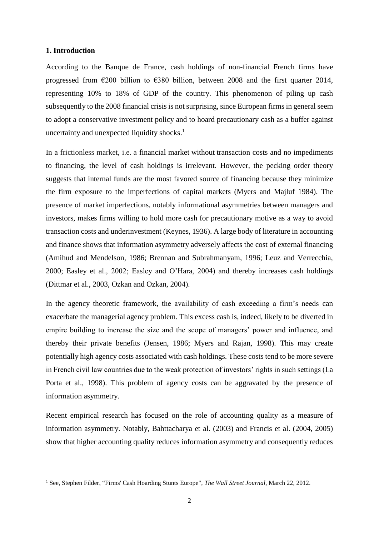### **1. Introduction**

**.** 

According to the Banque de France, cash holdings of non-financial French firms have progressed from  $\epsilon$ 200 billion to  $\epsilon$ 380 billion, between 2008 and the first quarter 2014, representing 10% to 18% of GDP of the country. This phenomenon of piling up cash subsequently to the 2008 financial crisis is not surprising, since European firms in general seem to adopt a conservative investment policy and to hoard precautionary cash as a buffer against uncertainty and unexpected liquidity shocks.<sup>1</sup>

In a frictionless market, i.e. a [financial market](https://en.wikipedia.org/wiki/Financial_market) without [transaction costs](https://en.wikipedia.org/wiki/Transaction_costs) and no impediments to financing, the level of cash holdings is irrelevant. However, the pecking order theory suggests that internal funds are the most favored source of financing because they minimize the firm exposure to the imperfections of capital markets (Myers and Majluf 1984). The presence of market imperfections, notably informational asymmetries between managers and investors, makes firms willing to hold more cash for precautionary motive as a way to avoid transaction costs and underinvestment (Keynes, 1936). A large body of literature in accounting and finance shows that information asymmetry adversely affects the cost of external financing (Amihud and Mendelson, 1986; Brennan and Subrahmanyam, 1996; Leuz and Verrecchia, 2000; Easley et al., 2002; Easley and O'Hara, 2004) and thereby increases cash holdings (Dittmar et al., 2003, Ozkan and Ozkan, 2004).

In the agency theoretic framework, the availability of cash exceeding a firm's needs can exacerbate the managerial agency problem. This excess cash is, indeed, likely to be diverted in empire building to increase the size and the scope of managers' power and influence, and thereby their private benefits (Jensen, 1986; Myers and Rajan, 1998). This may create potentially high agency costs associated with cash holdings. These costs tend to be more severe in French civil law countries due to the weak protection of investors' rights in such settings (La Porta et al., 1998). This problem of agency costs can be aggravated by the presence of information asymmetry.

Recent empirical research has focused on the role of accounting quality as a measure of information asymmetry. Notably, Bahttacharya et al. (2003) and Francis et al. (2004, 2005) show that higher accounting quality reduces information asymmetry and consequently reduces

<sup>1</sup> See, Stephen Filder, "Firms' Cash Hoarding Stunts Europe", *The Wall Street Journal*, March 22, 2012.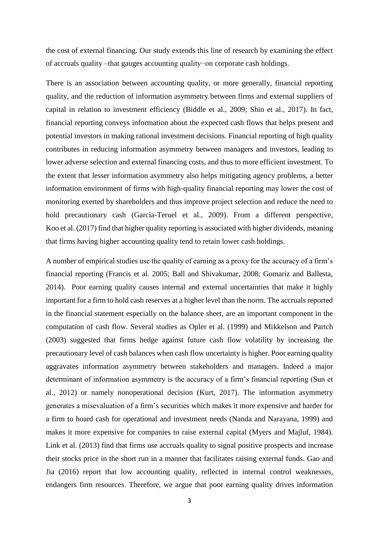the cost of external financing. Our study extends this line of research by examining the effect of accruals quality –that gauges accounting quality−on corporate cash holdings.

There is an association between accounting quality, or more generally, financial reporting quality, and the reduction of information asymmetry between firms and external suppliers of capital in relation to investment efficiency (Biddle et al., 2009; Shin et al., 2017). In fact, financial reporting conveys information about the expected cash flows that helps present and potential investors in making rational investment decisions. Financial reporting of high quality contributes in reducing information asymmetry between managers and investors, leading to lower adverse selection and external financing costs, and thus to more efficient investment. To the extent that lesser information asymmetry also helps mitigating agency problems, a better information environment of firms with high-quality financial reporting may lower the cost of monitoring exerted by shareholders and thus improve project selection and reduce the need to hold precautionary cash (Garcia-Teruel et al., 2009). From a different perspective, Koo et al. (2017) find that higher quality reporting is associated with higher dividends, meaning that firms having higher accounting quality tend to retain lower cash holdings.

A number of empirical studies use the quality of earning as a proxy for the accuracy of a firm's financial reporting (Francis et al. 2005; Ball and Shivakumar, 2008; Gomariz and Ballesta, 2014). Poor earning quality causes internal and external uncertainties that make it highly important for a firm to hold cash reserves at a higher level than the norm. The accruals reported in the financial statement especially on the balance sheet, are an important component in the computation of cash flow. Several studies as Opler et al. (1999) and Mikkelson and Partch (2003) suggested that firms hedge against future cash flow volatility by increasing the precautionary level of cash balances when cash flow uncertainty is higher. Poor earning quality aggravates information asymmetry between stakeholders and managers. Indeed a major determinant of information asymmetry is the accuracy of a firm's financial reporting (Sun et al., 2012) or namely nonoperational decision (Kurt, 2017). The information asymmetry generates a misevaluation of a firm's securities which makes it more expensive and harder for a firm to hoard cash for operational and investment needs (Nanda and Narayana, 1999) and makes it more expensive for companies to raise external capital (Myers and Majluf, 1984). Link et al. (2013) find that firms use accruals quality to signal positive prospects and increase their stocks price in the short run in a manner that facilitates raising external funds. Gao and Jia (2016) report that low accounting quality, reflected in internal control weaknesses, endangers firm resources. Therefore, we argue that poor earning quality drives information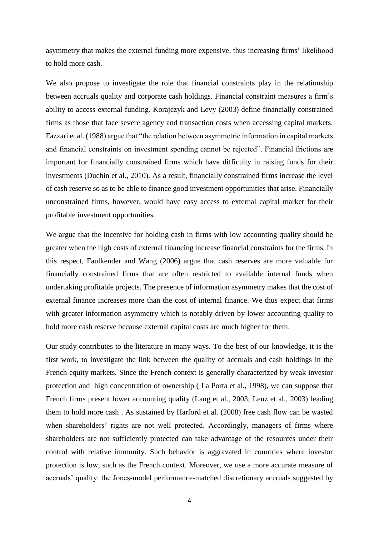asymmetry that makes the external funding more expensive, thus increasing firms' likelihood to hold more cash.

We also propose to investigate the role that financial constraints play in the relationship between accruals quality and corporate cash holdings. Financial constraint measures a firm's ability to access external funding. Korajczyk and Levy (2003) define financially constrained firms as those that face severe agency and transaction costs when accessing capital markets. Fazzari et al. (1988) argue that "the relation between asymmetric information in capital markets and financial constraints on investment spending cannot be rejected". Financial frictions are important for financially constrained firms which have difficulty in raising funds for their investments (Duchin et al., 2010). As a result, financially constrained firms increase the level of cash reserve so as to be able to finance good investment opportunities that arise. Financially unconstrained firms, however, would have easy access to external capital market for their profitable investment opportunities.

We argue that the incentive for holding cash in firms with low accounting quality should be greater when the high costs of external financing increase financial constraints for the firms. In this respect, Faulkender and Wang (2006) argue that cash reserves are more valuable for financially constrained firms that are often restricted to available internal funds when undertaking profitable projects. The presence of information asymmetry makes that the cost of external finance increases more than the cost of internal finance. We thus expect that firms with greater information asymmetry which is notably driven by lower accounting quality to hold more cash reserve because external capital costs are much higher for them.

Our study contributes to the literature in many ways. To the best of our knowledge, it is the first work, to investigate the link between the quality of accruals and cash holdings in the French equity markets. Since the French context is generally characterized by weak investor protection and high concentration of ownership ( La Porta et al., 1998), we can suppose that French firms present lower accounting quality (Lang et al., 2003; Leuz et al., 2003) leading them to hold more cash . As sustained by Harford et al. (2008) free cash flow can be wasted when shareholders' rights are not well protected. Accordingly, managers of firms where shareholders are not sufficiently protected can take advantage of the resources under their control with relative immunity. Such behavior is aggravated in countries where investor protection is low, such as the French context. Moreover, we use a more accurate measure of accruals' quality: the Jones-model performance-matched discretionary accruals suggested by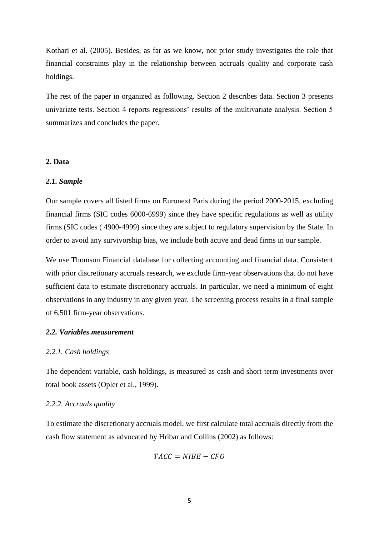Kothari et al. (2005). Besides, as far as we know, nor prior study investigates the role that financial constraints play in the relationship between accruals quality and corporate cash holdings.

The rest of the paper in organized as following. Section 2 describes data. Section 3 presents univariate tests. Section 4 reports regressions' results of the multivariate analysis. Section 5 summarizes and concludes the paper.

## **2. Data**

### *2.1. Sample*

Our sample covers all listed firms on Euronext Paris during the period 2000-2015, excluding financial firms (SIC codes 6000-6999) since they have specific regulations as well as utility firms (SIC codes ( 4900-4999) since they are subject to regulatory supervision by the State. In order to avoid any survivorship bias, we include both active and dead firms in our sample.

We use Thomson Financial database for collecting accounting and financial data. Consistent with prior discretionary accruals research, we exclude firm-year observations that do not have sufficient data to estimate discretionary accruals. In particular, we need a minimum of eight observations in any industry in any given year. The screening process results in a final sample of 6,501 firm-year observations.

## *2.2. Variables measurement*

#### *2.2.1. Cash holdings*

The dependent variable, cash holdings, is measured as cash and short-term investments over total book assets (Opler et al., 1999).

## *2.2.2. Accruals quality*

To estimate the discretionary accruals model, we first calculate total accruals directly from the cash flow statement as advocated by Hribar and Collins (2002) as follows:

$$
TACC = NIBE - CFO
$$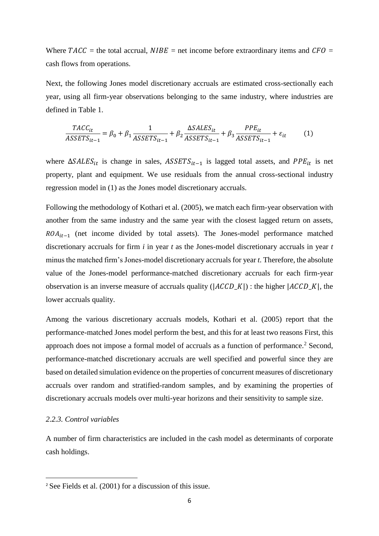Where  $TACC =$  the total accrual,  $NIBE =$  net income before extraordinary items and  $CFO =$ cash flows from operations.

Next, the following Jones model discretionary accruals are estimated cross-sectionally each year, using all firm-year observations belonging to the same industry, where industries are defined in Table 1.

$$
\frac{TACC_{it}}{ASSETS_{it-1}} = \beta_0 + \beta_1 \frac{1}{ASSETS_{it-1}} + \beta_2 \frac{\Delta SALES_{it}}{ASSETS_{it-1}} + \beta_3 \frac{PPE_{it}}{ASSETS_{it-1}} + \varepsilon_{it}
$$
(1)

where  $\Delta SALES_{it}$  is change in sales,  $ASSETS_{it-1}$  is lagged total assets, and  $PPE_{it}$  is net property, plant and equipment. We use residuals from the annual cross-sectional industry regression model in (1) as the Jones model discretionary accruals.

Following the methodology of Kothari et al. (2005), we match each firm-year observation with another from the same industry and the same year with the closest lagged return on assets,  $ROA_{it-1}$  (net income divided by total assets). The Jones-model performance matched discretionary accruals for firm *i* in year *t* as the Jones-model discretionary accruals in year *t* minus the matched firm's Jones-model discretionary accruals for year *t*. Therefore, the absolute value of the Jones-model performance-matched discretionary accruals for each firm-year observation is an inverse measure of accruals quality ( $|ACCD_K|$ ) : the higher  $|ACCD_K|$ , the lower accruals quality.

Among the various discretionary accruals models, Kothari et al. (2005) report that the performance-matched Jones model perform the best, and this for at least two reasons First, this approach does not impose a formal model of accruals as a function of performance.<sup>2</sup> Second, performance-matched discretionary accruals are well specified and powerful since they are based on detailed simulation evidence on the properties of concurrent measures of discretionary accruals over random and stratified-random samples, and by examining the properties of discretionary accruals models over multi-year horizons and their sensitivity to sample size.

# *2.2.3. Control variables*

 $\overline{a}$ 

A number of firm characteristics are included in the cash model as determinants of corporate cash holdings.

<sup>2</sup> See Fields et al. (2001) for a discussion of this issue.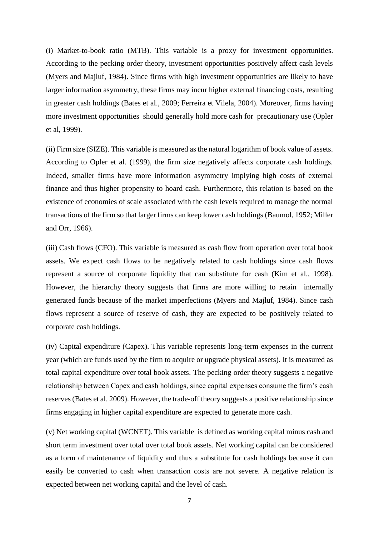(i) Market-to-book ratio (MTB). This variable is a proxy for investment opportunities. According to the pecking order theory, investment opportunities positively affect cash levels (Myers and Majluf, 1984). Since firms with high investment opportunities are likely to have larger information asymmetry, these firms may incur higher external financing costs, resulting in greater cash holdings (Bates et al., 2009; Ferreira et Vilela, 2004). Moreover, firms having more investment opportunities should generally hold more cash for precautionary use (Opler et al, 1999).

(ii) Firm size (SIZE). This variable is measured as the natural logarithm of book value of assets. According to Opler et al. (1999), the firm size negatively affects corporate cash holdings. Indeed, smaller firms have more information asymmetry implying high costs of external finance and thus higher propensity to hoard cash. Furthermore, this relation is based on the existence of economies of scale associated with the cash levels required to manage the normal transactions of the firm so that larger firms can keep lower cash holdings (Baumol, 1952; Miller and Orr, 1966).

(iii) Cash flows (CFO). This variable is measured as cash flow from operation over total book assets. We expect cash flows to be negatively related to cash holdings since cash flows represent a source of corporate liquidity that can substitute for cash (Kim et al., 1998). However, the hierarchy theory suggests that firms are more willing to retain internally generated funds because of the market imperfections (Myers and Majluf, 1984). Since cash flows represent a source of reserve of cash, they are expected to be positively related to corporate cash holdings.

(iv) Capital expenditure (Capex). This variable represents long-term expenses in the current year (which are funds used by the firm to acquire or upgrade physical assets). It is measured as total capital expenditure over total book assets. The pecking order theory suggests a negative relationship between Capex and cash holdings, since capital expenses consume the firm's cash reserves (Bates et al. 2009). However, the trade-off theory suggests a positive relationship since firms engaging in higher capital expenditure are expected to generate more cash.

(v) Net working capital (WCNET). This variable is defined as working capital minus cash and short term investment over total over total book assets. Net working capital can be considered as a form of maintenance of liquidity and thus a substitute for cash holdings because it can easily be converted to cash when transaction costs are not severe. A negative relation is expected between net working capital and the level of cash.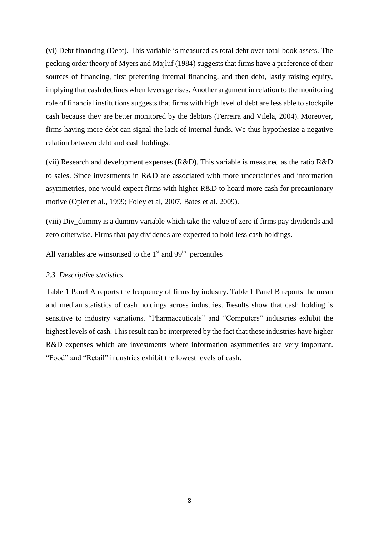(vi) Debt financing (Debt). This variable is measured as total debt over total book assets. The pecking order theory of Myers and Majluf (1984) suggests that firms have a preference of their sources of financing, first preferring internal financing, and then debt, lastly raising equity, implying that cash declines when leverage rises. Another argument in relation to the monitoring role of financial institutions suggests that firms with high level of debt are less able to stockpile cash because they are better monitored by the debtors (Ferreira and Vilela, 2004). Moreover, firms having more debt can signal the lack of internal funds. We thus hypothesize a negative relation between debt and cash holdings.

(vii) Research and development expenses (R&D). This variable is measured as the ratio R&D to sales. Since investments in R&D are associated with more uncertainties and information asymmetries, one would expect firms with higher R&D to hoard more cash for precautionary motive (Opler et al., 1999; Foley et al, 2007, Bates et al. 2009).

(viii) Div\_dummy is a dummy variable which take the value of zero if firms pay dividends and zero otherwise. Firms that pay dividends are expected to hold less cash holdings.

All variables are winsorised to the  $1<sup>st</sup>$  and  $99<sup>th</sup>$  percentiles

### *2.3. Descriptive statistics*

Table 1 Panel A reports the frequency of firms by industry. Table 1 Panel B reports the mean and median statistics of cash holdings across industries. Results show that cash holding is sensitive to industry variations. "Pharmaceuticals" and "Computers" industries exhibit the highest levels of cash. This result can be interpreted by the fact that these industries have higher R&D expenses which are investments where information asymmetries are very important. "Food" and "Retail" industries exhibit the lowest levels of cash.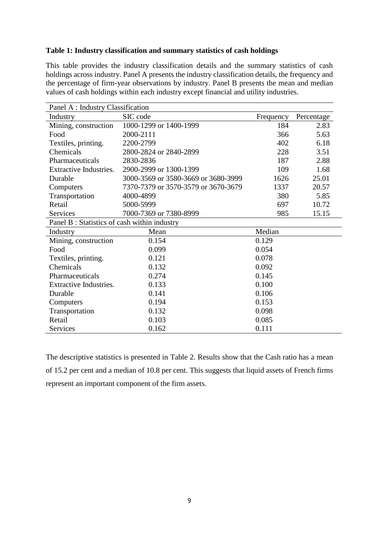# **Table 1: Industry classification and summary statistics of cash holdings**

This table provides the industry classification details and the summary statistics of cash holdings across industry. Panel A presents the industry classification details, the frequency and the percentage of firm-year observations by industry. Panel B presents the mean and median values of cash holdings within each industry except financial and utility industries.

| Panel A : Industry Classification           |                                     |           |            |  |  |  |
|---------------------------------------------|-------------------------------------|-----------|------------|--|--|--|
| Industry                                    | SIC code                            | Frequency | Percentage |  |  |  |
| Mining, construction                        | 1000-1299 or 1400-1999              | 184       | 2.83       |  |  |  |
| Food                                        | 2000-2111                           | 366       | 5.63       |  |  |  |
| Textiles, printing.                         | 2200-2799                           | 402       | 6.18       |  |  |  |
| Chemicals                                   | 2800-2824 or 2840-2899              | 228       | 3.51       |  |  |  |
| Pharmaceuticals                             | 2830-2836                           | 187       | 2.88       |  |  |  |
| <b>Extractive Industries.</b>               | 2900-2999 or 1300-1399              | 109       | 1.68       |  |  |  |
| Durable                                     | 3000-3569 or 3580-3669 or 3680-3999 | 1626      | 25.01      |  |  |  |
| Computers                                   | 7370-7379 or 3570-3579 or 3670-3679 | 1337      | 20.57      |  |  |  |
| Transportation                              | 4000-4899                           | 380       | 5.85       |  |  |  |
| Retail                                      | 5000-5999                           | 697       | 10.72      |  |  |  |
| Services                                    | 7000-7369 or 7380-8999              | 985       | 15.15      |  |  |  |
| Panel B: Statistics of cash within industry |                                     |           |            |  |  |  |
| Industry                                    | Mean                                | Median    |            |  |  |  |
| Mining, construction                        | 0.154                               | 0.129     |            |  |  |  |
| Food                                        | 0.099                               | 0.054     |            |  |  |  |
| Textiles, printing.                         | 0.121                               | 0.078     |            |  |  |  |
| Chemicals                                   | 0.132                               | 0.092     |            |  |  |  |
| Pharmaceuticals                             | 0.274                               | 0.145     |            |  |  |  |
| <b>Extractive Industries.</b>               | 0.133                               | 0.100     |            |  |  |  |
| Durable                                     | 0.141                               | 0.106     |            |  |  |  |
| Computers                                   | 0.194                               | 0.153     |            |  |  |  |
| Transportation                              | 0.132                               | 0.098     |            |  |  |  |
| Retail                                      | 0.103                               | 0.085     |            |  |  |  |
| Services                                    | 0.162                               | 0.111     |            |  |  |  |

The descriptive statistics is presented in Table 2. Results show that the Cash ratio has a mean of 15.2 per cent and a median of 10.8 per cent. This suggests that liquid assets of French firms represent an important component of the firm assets.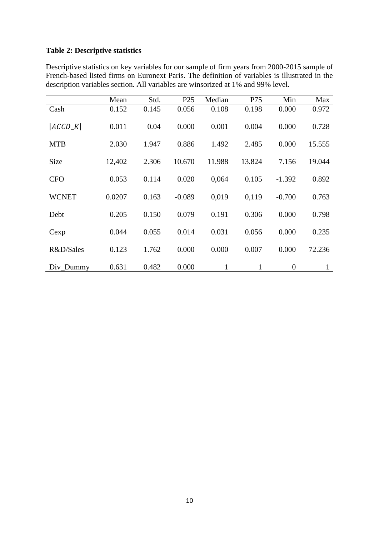# **Table 2: Descriptive statistics**

| Descriptive statistics on key variables for our sample of firm years from 2000-2015 sample of  |
|------------------------------------------------------------------------------------------------|
| French-based listed firms on Euronext Paris. The definition of variables is illustrated in the |
| description variables section. All variables are winsorized at 1% and 99% level.               |

|              | Mean   | Std.  | P <sub>25</sub> | Median       | P75          | Min            | Max          |
|--------------|--------|-------|-----------------|--------------|--------------|----------------|--------------|
| Cash         | 0.152  | 0.145 | 0.056           | 0.108        | 0.198        | 0.000          | 0.972        |
| $ ACCD_K $   | 0.011  | 0.04  | 0.000           | 0.001        | 0.004        | 0.000          | 0.728        |
| <b>MTB</b>   | 2.030  | 1.947 | 0.886           | 1.492        | 2.485        | 0.000          | 15.555       |
| <b>Size</b>  | 12,402 | 2.306 | 10.670          | 11.988       | 13.824       | 7.156          | 19.044       |
| <b>CFO</b>   | 0.053  | 0.114 | 0.020           | 0,064        | 0.105        | $-1.392$       | 0.892        |
| <b>WCNET</b> | 0.0207 | 0.163 | $-0.089$        | 0.019        | 0,119        | $-0.700$       | 0.763        |
| Debt         | 0.205  | 0.150 | 0.079           | 0.191        | 0.306        | 0.000          | 0.798        |
| Cexp         | 0.044  | 0.055 | 0.014           | 0.031        | 0.056        | 0.000          | 0.235        |
| R&D/Sales    | 0.123  | 1.762 | 0.000           | 0.000        | 0.007        | 0.000          | 72.236       |
| Div_Dummy    | 0.631  | 0.482 | 0.000           | $\mathbf{1}$ | $\mathbf{1}$ | $\overline{0}$ | $\mathbf{1}$ |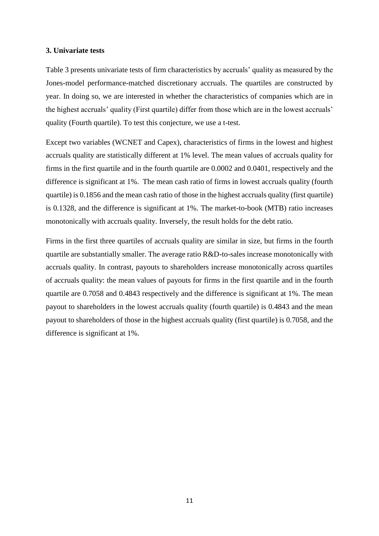### **3. Univariate tests**

Table 3 presents univariate tests of firm characteristics by accruals' quality as measured by the Jones-model performance-matched discretionary accruals. The quartiles are constructed by year. In doing so, we are interested in whether the characteristics of companies which are in the highest accruals' quality (First quartile) differ from those which are in the lowest accruals' quality (Fourth quartile). To test this conjecture, we use a t-test.

Except two variables (WCNET and Capex), characteristics of firms in the lowest and highest accruals quality are statistically different at 1% level. The mean values of accruals quality for firms in the first quartile and in the fourth quartile are 0.0002 and 0.0401, respectively and the difference is significant at 1%. The mean cash ratio of firms in lowest accruals quality (fourth quartile) is 0.1856 and the mean cash ratio of those in the highest accruals quality (first quartile) is 0.1328, and the difference is significant at 1%. The market-to-book (MTB) ratio increases monotonically with accruals quality. Inversely, the result holds for the debt ratio.

Firms in the first three quartiles of accruals quality are similar in size, but firms in the fourth quartile are substantially smaller. The average ratio R&D-to-sales increase monotonically with accruals quality. In contrast, payouts to shareholders increase monotonically across quartiles of accruals quality: the mean values of payouts for firms in the first quartile and in the fourth quartile are 0.7058 and 0.4843 respectively and the difference is significant at 1%. The mean payout to shareholders in the lowest accruals quality (fourth quartile) is 0.4843 and the mean payout to shareholders of those in the highest accruals quality (first quartile) is 0.7058, and the difference is significant at 1%.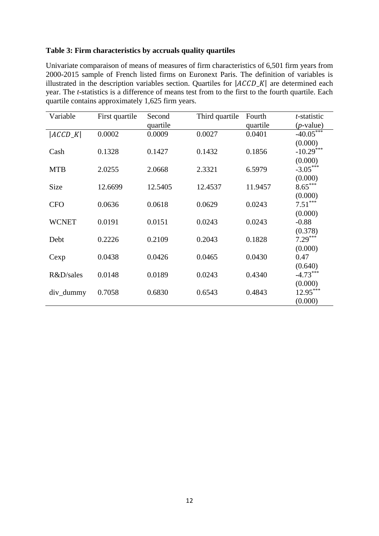# **Table 3: Firm characteristics by accruals quality quartiles**

Univariate comparaison of means of measures of firm characteristics of 6,501 firm years from 2000-2015 sample of French listed firms on Euronext Paris. The definition of variables is illustrated in the description variables section. Quartiles for  $|ACCD_K|$  are determined each year. The *t*-statistics is a difference of means test from to the first to the fourth quartile. Each quartile contains approximately 1,625 firm years.

| Variable     | First quartile | Second<br>quartile | Third quartile | Fourth<br>quartile | t-statistic<br>$(p$ -value) |
|--------------|----------------|--------------------|----------------|--------------------|-----------------------------|
| $ ACCD_K $   | 0.0002         | 0.0009             | 0.0027         | 0.0401             | $-40.05***$                 |
|              |                |                    |                |                    | (0.000)                     |
| Cash         | 0.1328         | 0.1427             | 0.1432         | 0.1856             | $-10.29***$                 |
| <b>MTB</b>   | 2.0255         | 2.0668             | 2.3321         | 6.5979             | (0.000)<br>$-3.05***$       |
|              |                |                    |                |                    | (0.000)                     |
| Size         | 12.6699        | 12.5405            | 12.4537        | 11.9457            | $8.65***$                   |
|              |                |                    |                |                    | (0.000)                     |
| <b>CFO</b>   | 0.0636         | 0.0618             | 0.0629         | 0.0243             | $7.51***$                   |
|              |                |                    |                |                    | (0.000)                     |
| <b>WCNET</b> | 0.0191         | 0.0151             | 0.0243         | 0.0243             | $-0.88$                     |
| Debt         | 0.2226         | 0.2109             | 0.2043         | 0.1828             | (0.378)<br>$7.29***$        |
|              |                |                    |                |                    | (0.000)                     |
| Cexp         | 0.0438         | 0.0426             | 0.0465         | 0.0430             | 0.47                        |
|              |                |                    |                |                    | (0.640)                     |
| R&D/sales    | 0.0148         | 0.0189             | 0.0243         | 0.4340             | $-4.73***$                  |
|              |                |                    |                |                    | (0.000)                     |
| div_dummy    | 0.7058         | 0.6830             | 0.6543         | 0.4843             | $12.95***$                  |
|              |                |                    |                |                    | (0.000)                     |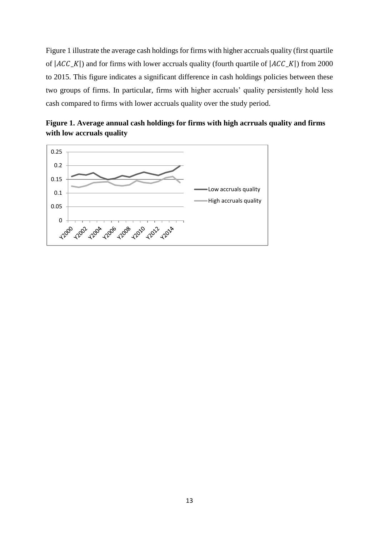Figure 1 illustrate the average cash holdings for firms with higher accruals quality (first quartile of  $|ACC_K|$ ) and for firms with lower accruals quality (fourth quartile of  $|ACC_K|$ ) from 2000 to 2015. This figure indicates a significant difference in cash holdings policies between these two groups of firms. In particular, firms with higher accruals' quality persistently hold less cash compared to firms with lower accruals quality over the study period.



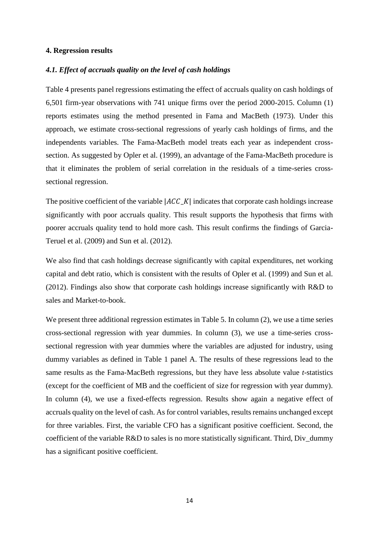### **4. Regression results**

### *4.1. Effect of accruals quality on the level of cash holdings*

Table 4 presents panel regressions estimating the effect of accruals quality on cash holdings of 6,501 firm-year observations with 741 unique firms over the period 2000-2015. Column (1) reports estimates using the method presented in Fama and MacBeth (1973). Under this approach, we estimate cross-sectional regressions of yearly cash holdings of firms, and the independents variables. The Fama-MacBeth model treats each year as independent crosssection. As suggested by Opler et al. (1999), an advantage of the Fama-MacBeth procedure is that it eliminates the problem of serial correlation in the residuals of a time-series crosssectional regression.

The positive coefficient of the variable  $|ACCK|$  indicates that corporate cash holdings increase significantly with poor accruals quality. This result supports the hypothesis that firms with poorer accruals quality tend to hold more cash. This result confirms the findings of Garcia-Teruel et al. (2009) and Sun et al. (2012).

We also find that cash holdings decrease significantly with capital expenditures, net working capital and debt ratio, which is consistent with the results of Opler et al. (1999) and Sun et al. (2012). Findings also show that corporate cash holdings increase significantly with R&D to sales and Market-to-book.

We present three additional regression estimates in Table 5. In column (2), we use a time series cross-sectional regression with year dummies. In column (3), we use a time-series crosssectional regression with year dummies where the variables are adjusted for industry, using dummy variables as defined in Table 1 panel A. The results of these regressions lead to the same results as the Fama-MacBeth regressions, but they have less absolute value *t*-statistics (except for the coefficient of MB and the coefficient of size for regression with year dummy). In column (4), we use a fixed-effects regression. Results show again a negative effect of accruals quality on the level of cash. As for control variables, results remains unchanged except for three variables. First, the variable CFO has a significant positive coefficient. Second, the coefficient of the variable R&D to sales is no more statistically significant. Third, Div\_dummy has a significant positive coefficient.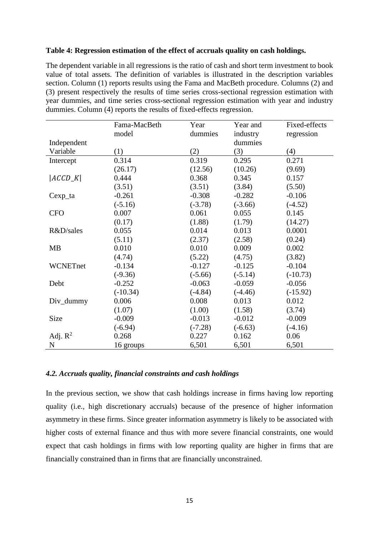### **Table 4: Regression estimation of the effect of accruals quality on cash holdings.**

The dependent variable in all regressions is the ratio of cash and short term investment to book value of total assets. The definition of variables is illustrated in the description variables section. Column (1) reports results using the Fama and MacBeth procedure. Columns (2) and (3) present respectively the results of time series cross-sectional regression estimation with year dummies, and time series cross-sectional regression estimation with year and industry dummies. Column (4) reports the results of fixed-effects regression.

|                      | Fama-MacBeth | Year      | Year and  | Fixed-effects |
|----------------------|--------------|-----------|-----------|---------------|
|                      | model        | dummies   | industry  | regression    |
| Independent          |              |           | dummies   |               |
| Variable             | (1)          | (2)       | (3)       | (4)           |
| Intercept            | 0.314        | 0.319     | 0.295     | 0.271         |
|                      | (26.17)      | (12.56)   | (10.26)   | (9.69)        |
| $ ACCD_K $           | 0.444        | 0.368     | 0.345     | 0.157         |
|                      | (3.51)       | (3.51)    | (3.84)    | (5.50)        |
| Cexp <sub>1</sub> ta | $-0.261$     | $-0.308$  | $-0.282$  | $-0.106$      |
|                      | $(-5.16)$    | $(-3.78)$ | $(-3.66)$ | $(-4.52)$     |
| <b>CFO</b>           | 0.007        | 0.061     | 0.055     | 0.145         |
|                      | (0.17)       | (1.88)    | (1.79)    | (14.27)       |
| R&D/sales            | 0.055        | 0.014     | 0.013     | 0.0001        |
|                      | (5.11)       | (2.37)    | (2.58)    | (0.24)        |
| <b>MB</b>            | 0.010        | 0.010     | 0.009     | 0.002         |
|                      | (4.74)       | (5.22)    | (4.75)    | (3.82)        |
| WCNETnet             | $-0.134$     | $-0.127$  | $-0.125$  | $-0.104$      |
|                      | $(-9.36)$    | $(-5.66)$ | $(-5.14)$ | $(-10.73)$    |
| Debt                 | $-0.252$     | $-0.063$  | $-0.059$  | $-0.056$      |
|                      | $(-10.34)$   | $(-4.84)$ | $(-4.46)$ | $(-15.92)$    |
| Div_dummy            | 0.006        | 0.008     | 0.013     | 0.012         |
|                      | (1.07)       | (1.00)    | (1.58)    | (3.74)        |
| Size                 | $-0.009$     | $-0.013$  | $-0.012$  | $-0.009$      |
|                      | $(-6.94)$    | $(-7.28)$ | $(-6.63)$ | $(-4.16)$     |
| Adj. $R^2$           | 0.268        | 0.227     | 0.162     | 0.06          |
| $\mathbf N$          | 16 groups    | 6,501     | 6,501     | 6,501         |

### *4.2. Accruals quality, financial constraints and cash holdings*

In the previous section, we show that cash holdings increase in firms having low reporting quality (i.e., high discretionary accruals) because of the presence of higher information asymmetry in these firms. Since greater information asymmetry is likely to be associated with higher costs of external finance and thus with more severe financial constraints, one would expect that cash holdings in firms with low reporting quality are higher in firms that are financially constrained than in firms that are financially unconstrained.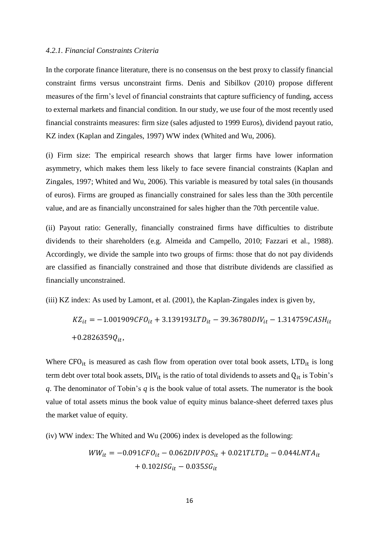### *4.2.1. Financial Constraints Criteria*

In the corporate finance literature, there is no consensus on the best proxy to classify financial constraint firms versus unconstraint firms. Denis and Sibilkov (2010) propose different measures of the firm's level of financial constraints that capture sufficiency of funding, access to external markets and financial condition. In our study, we use four of the most recently used financial constraints measures: firm size (sales adjusted to 1999 Euros), dividend payout ratio, KZ index (Kaplan and Zingales, 1997) WW index (Whited and Wu, 2006).

(i) Firm size: The empirical research shows that larger firms have lower information asymmetry, which makes them less likely to face severe financial constraints (Kaplan and Zingales, 1997; Whited and Wu, 2006). This variable is measured by total sales (in thousands of euros). Firms are grouped as financially constrained for sales less than the 30th percentile value, and are as financially unconstrained for sales higher than the 70th percentile value.

(ii) Payout ratio: Generally, financially constrained firms have difficulties to distribute dividends to their shareholders (e.g. Almeida and Campello, 2010; Fazzari et al., 1988). Accordingly, we divide the sample into two groups of firms: those that do not pay dividends are classified as financially constrained and those that distribute dividends are classified as financially unconstrained.

(iii) KZ index: As used by Lamont, et al. (2001), the Kaplan-Zingales index is given by,

$$
KZ_{it} = -1.001909CFO_{it} + 3.139193LTD_{it} - 39.36780DIV_{it} - 1.314759CASH_{it}
$$

$$
+0.2826359Q_{it},
$$

Where  $CFO_{it}$  is measured as cash flow from operation over total book assets,  $LTD_{it}$  is long term debt over total book assets,  $DIV_{it}$  is the ratio of total dividends to assets and  $Q_{it}$  is Tobin's *q*. The denominator of Tobin's *q* is the book value of total assets. The numerator is the book value of total assets minus the book value of equity minus balance-sheet deferred taxes plus the market value of equity.

(iv) WW index: The Whited and Wu (2006) index is developed as the following:

$$
WW_{it} = -0.091CFO_{it} - 0.062DIVPOS_{it} + 0.021TLTD_{it} - 0.044LNTA_{it} + 0.102ISG_{it} - 0.035SG_{it}
$$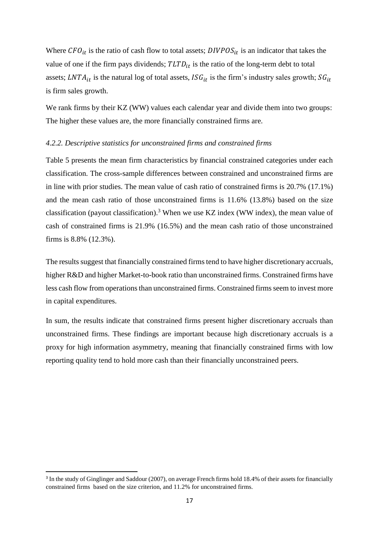Where  $CFO_{it}$  is the ratio of cash flow to total assets;  $DIVPOS_{it}$  is an indicator that takes the value of one if the firm pays dividends;  $TLTD_{it}$  is the ratio of the long-term debt to total assets; LNTA<sub>it</sub> is the natural log of total assets,  $ISG_{it}$  is the firm's industry sales growth;  $SG_{it}$ is firm sales growth.

We rank firms by their KZ (WW) values each calendar year and divide them into two groups: The higher these values are, the more financially constrained firms are.

### *4.2.2. Descriptive statistics for unconstrained firms and constrained firms*

Table 5 presents the mean firm characteristics by financial constrained categories under each classification. The cross-sample differences between constrained and unconstrained firms are in line with prior studies. The mean value of cash ratio of constrained firms is 20.7% (17.1%) and the mean cash ratio of those unconstrained firms is 11.6% (13.8%) based on the size classification (payout classification).<sup>3</sup> When we use KZ index (WW index), the mean value of cash of constrained firms is 21.9% (16.5%) and the mean cash ratio of those unconstrained firms is 8.8% (12.3%).

The results suggest that financially constrained firms tend to have higher discretionary accruals, higher R&D and higher Market-to-book ratio than unconstrained firms. Constrained firms have less cash flow from operations than unconstrained firms. Constrained firms seem to invest more in capital expenditures.

In sum, the results indicate that constrained firms present higher discretionary accruals than unconstrained firms. These findings are important because high discretionary accruals is a proxy for high information asymmetry, meaning that financially constrained firms with low reporting quality tend to hold more cash than their financially unconstrained peers.

1

<sup>&</sup>lt;sup>3</sup> In the study of Ginglinger and Saddour (2007), on average French firms hold 18.4% of their assets for financially constrained firms based on the size criterion, and 11.2% for unconstrained firms.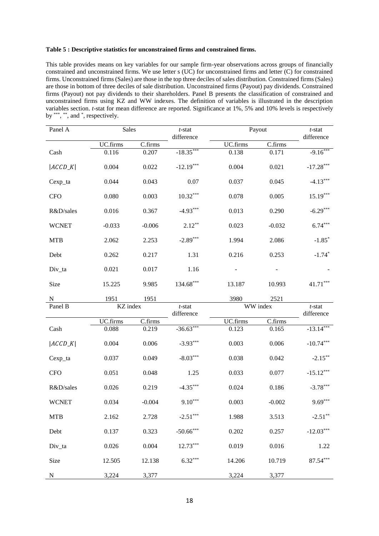#### **Table 5 : Descriptive statistics for unconstrained firms and constrained firms.**

This table provides means on key variables for our sample firm-year observations across groups of financially constrained and unconstrained firms. We use letter s (UC) for unconstrained firms and letter (C) for constrained firms. Unconstrained firms (Sales) are those in the top three deciles of sales distribution. Constrained firms (Sales) are those in bottom of three deciles of sale distribution. Unconstrained firms (Payout) pay dividends. Constrained firms (Payout) not pay dividends to their shareholders. Panel B presents the classification of constrained and unconstrained firms using KZ and WW indexes. The definition of variables is illustrated in the description variables section. *t*-stat for mean difference are reported. Significance at 1%, 5% and 10% levels is respectively by  $\overset{\ast\ast\ast}{, \ast\ast}$ , and  $\overset{\ast}{, \ast}$  respectively.

| Panel A      | Sales    |          | $t$ -stat               |          | Payout   | $t$ -stat               |
|--------------|----------|----------|-------------------------|----------|----------|-------------------------|
|              | UC.firms | C.firms  | difference              | UC.firms | C.firms  | difference              |
| Cash         | 0.116    | 0.207    | $-18.35***$             | 0.138    | 0.171    | $-9.16***$              |
| $ ACCD_K $   | 0.004    | 0.022    | $-12.19***$             | 0.004    | 0.021    | $-17.28***$             |
| Cexp_ta      | 0.044    | 0.043    | 0.07                    | 0.037    | 0.045    | $-4.13***$              |
| <b>CFO</b>   | 0.080    | 0.003    | $10.32***$              | 0.078    | 0.005    | $15.19***$              |
| R&D/sales    | 0.016    | 0.367    | $-4.93***$              | 0.013    | 0.290    | $-6.29***$              |
| <b>WCNET</b> | $-0.033$ | $-0.006$ | $2.12***$               | 0.023    | $-0.032$ | $6.74***$               |
| <b>MTB</b>   | 2.062    | 2.253    | $-2.89***$              | 1.994    | 2.086    | $-1.85*$                |
| Debt         | 0.262    | 0.217    | 1.31                    | 0.216    | 0.253    | $-1.74*$                |
| Div_ta       | 0.021    | 0.017    | 1.16                    |          |          |                         |
| Size         | 15.225   | 9.985    | 134.68***               | 13.187   | 10.993   | $41.71***$              |
| N            | 1951     | 1951     |                         | 3980     | 2521     |                         |
| Panel B      | KZ index |          | $t$ -stat<br>difference |          | WW index | $t$ -stat<br>difference |
|              | UC.firms | C.firms  |                         | UC.firms | C.firms  |                         |
| Cash         | 0.088    | 0.219    | $-36.63***$             | 0.123    | 0.165    | $-13.14***$             |
| $ ACCD_K $   | 0.004    | 0.006    | $-3.93***$              | 0.003    | 0.006    | $-10.74***$             |
| Cexp_ta      | 0.037    | 0.049    | $-8.03***$              | 0.038    | 0.042    | $-2.15***$              |
| <b>CFO</b>   | 0.051    | 0.048    | 1.25                    | 0.033    | 0.077    | $-15.12***$             |
| R&D/sales    | 0.026    | 0.219    | $-4.35***$              | 0.024    | 0.186    | $-3.78***$              |
| <b>WCNET</b> | 0.034    | $-0.004$ | $9.10***$               | 0.003    | $-0.002$ | $9.69***$               |
| <b>MTB</b>   | 2.162    | 2.728    | $-2.51***$              | 1.988    | 3.513    | $-2.51***$              |
| Debt         | 0.137    | 0.323    | $-50.66***$             | 0.202    | 0.257    | $-12.03***$             |
| Div_ta       | 0.026    | 0.004    | $12.73***$              | 0.019    | 0.016    | 1.22                    |
| Size         | 12.505   | 12.138   | $6.32***$               | 14.206   | 10.719   | $87.54***$              |
| ${\bf N}$    | 3,224    | 3,377    |                         | 3,224    | 3,377    |                         |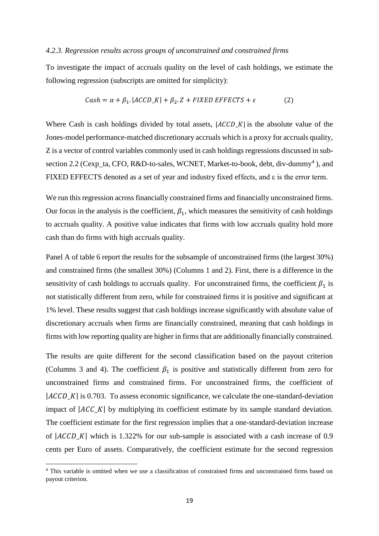### *4.2.3. Regression results across groups of unconstrained and constrained firms*

To investigate the impact of accruals quality on the level of cash holdings, we estimate the following regression (subscripts are omitted for simplicity):

$$
Cash = \alpha + \beta_1. |ACCD_K| + \beta_2. Z + FIXED \text{ EFFECTS} + \varepsilon
$$
 (2)

Where Cash is cash holdings divided by total assets,  $|ACCD_K|$  is the absolute value of the Jones-model performance-matched discretionary accruals which is a proxy for accruals quality, Z is a vector of control variables commonly used in cash holdings regressions discussed in subsection 2.2 (Cexp\_ta, CFO, R&D-to-sales, WCNET, Market-to-book, debt, div-dummy<sup>4</sup>), and FIXED EFFECTS denoted as a set of year and industry fixed effects, and ε is the error term.

We run this regression across financially constrained firms and financially unconstrained firms. Our focus in the analysis is the coefficient,  $\beta_1$ , which measures the sensitivity of cash holdings to accruals quality. A positive value indicates that firms with low accruals quality hold more cash than do firms with high accruals quality.

Panel A of table 6 report the results for the subsample of unconstrained firms (the largest 30%) and constrained firms (the smallest 30%) (Columns 1 and 2). First, there is a difference in the sensitivity of cash holdings to accruals quality. For unconstrained firms, the coefficient  $\beta_1$  is not statistically different from zero, while for constrained firms it is positive and significant at 1% level. These results suggest that cash holdings increase significantly with absolute value of discretionary accruals when firms are financially constrained, meaning that cash holdings in firms with low reporting quality are higher in firms that are additionally financially constrained.

The results are quite different for the second classification based on the payout criterion (Columns 3 and 4). The coefficient  $\beta_1$  is positive and statistically different from zero for unconstrained firms and constrained firms. For unconstrained firms, the coefficient of  $|ACCD_K|$  is 0.703. To assess economic significance, we calculate the one-standard-deviation impact of  $|ACC_K|$  by multiplying its coefficient estimate by its sample standard deviation. The coefficient estimate for the first regression implies that a one-standard-deviation increase of  $|ACCD_K|$  which is 1.322% for our sub-sample is associated with a cash increase of 0.9 cents per Euro of assets. Comparatively, the coefficient estimate for the second regression

**.** 

<sup>&</sup>lt;sup>4</sup> This variable is omitted when we use a classification of constrained firms and unconstrained firms based on payout criterion.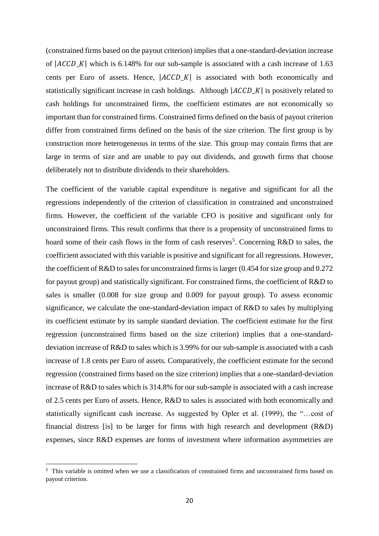(constrained firms based on the payout criterion) implies that a one-standard-deviation increase of  $|ACCD_K|$  which is 6.148% for our sub-sample is associated with a cash increase of 1.63 cents per Euro of assets. Hence,  $|ACCD_K|$  is associated with both economically and statistically significant increase in cash holdings. Although  $|ACCD_K|$  is positively related to cash holdings for unconstrained firms, the coefficient estimates are not economically so important than for constrained firms. Constrained firms defined on the basis of payout criterion differ from constrained firms defined on the basis of the size criterion. The first group is by construction more heterogeneous in terms of the size. This group may contain firms that are large in terms of size and are unable to pay out dividends, and growth firms that choose deliberately not to distribute dividends to their shareholders.

The coefficient of the variable capital expenditure is negative and significant for all the regressions independently of the criterion of classification in constrained and unconstrained firms. However, the coefficient of the variable CFO is positive and significant only for unconstrained firms. This result confirms that there is a propensity of unconstrained firms to hoard some of their cash flows in the form of cash reserves<sup>5</sup>. Concerning R&D to sales, the coefficient associated with this variable is positive and significant for all regressions. However, the coefficient of R&D to sales for unconstrained firms is larger (0.454 for size group and 0.272 for payout group) and statistically significant. For constrained firms, the coefficient of R&D to sales is smaller (0.008 for size group and 0.009 for payout group). To assess economic significance, we calculate the one-standard-deviation impact of R&D to sales by multiplying its coefficient estimate by its sample standard deviation. The coefficient estimate for the first regression (unconstrained firms based on the size criterion) implies that a one-standarddeviation increase of R&D to sales which is 3.99% for our sub-sample is associated with a cash increase of 1.8 cents per Euro of assets. Comparatively, the coefficient estimate for the second regression (constrained firms based on the size criterion) implies that a one-standard-deviation increase of R&D to sales which is 314.8% for our sub-sample is associated with a cash increase of 2.5 cents per Euro of assets. Hence, R&D to sales is associated with both economically and statistically significant cash increase. As suggested by Opler et al. (1999), the "…cost of financial distress [is] to be larger for firms with high research and development (R&D) expenses, since R&D expenses are forms of investment where information asymmetries are

**.** 

<sup>&</sup>lt;sup>5</sup> This variable is omitted when we use a classification of constrained firms and unconstrained firms based on payout criterion.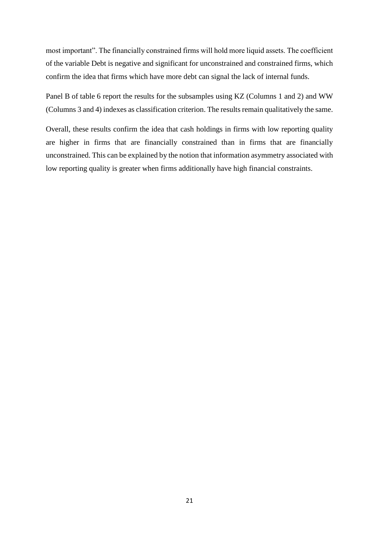most important". The financially constrained firms will hold more liquid assets. The coefficient of the variable Debt is negative and significant for unconstrained and constrained firms, which confirm the idea that firms which have more debt can signal the lack of internal funds.

Panel B of table 6 report the results for the subsamples using KZ (Columns 1 and 2) and WW (Columns 3 and 4) indexes as classification criterion. The results remain qualitatively the same.

Overall, these results confirm the idea that cash holdings in firms with low reporting quality are higher in firms that are financially constrained than in firms that are financially unconstrained. This can be explained by the notion that information asymmetry associated with low reporting quality is greater when firms additionally have high financial constraints.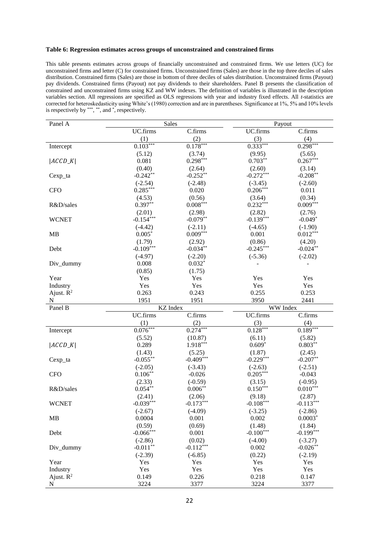#### **Table 6: Regression estimates across groups of unconstrained and constrained firms**

This table presents estimates across groups of financially unconstrained and constrained firms. We use letters (UC) for unconstrained firms and letter (C) for constrained firms. Unconstrained firms (Sales) are those in the top three deciles of sales distribution. Constrained firms (Sales) are those in bottom of three deciles of sales distribution. Unconstrained firms (Payout) pay dividends. Constrained firms (Payout) not pay dividends to their shareholders. Panel B presents the classification of constrained and unconstrained firms using KZ and WW indexes. The definition of variables is illustrated in the description variables section. All regressions are specified as OLS regressions with year and industry fixed effects. All *t*-statistics are corrected for heteroskedasticity using White's (1980) correction and are in parentheses. Significance at 1%, 5% and 10% levels is respectively by  $***$ ,  $**$ , and  $*$ , respectively.

| Panel A                  | <b>Sales</b>                 |                    | Payout                |                        |
|--------------------------|------------------------------|--------------------|-----------------------|------------------------|
|                          | UC.firms                     | C.firms            | UC.firms              | C.firms                |
|                          | (1)                          | (2)                | (3)                   | (4)                    |
| Intercept                | $0.103***$                   | $0.178***$         | $0.333***$            | $0.298***$             |
|                          | (5.12)                       | (3.74)             | (9.95)                | (5.65)                 |
| $ ACCD_K $               | 0.081                        | $0.298***$         | $0.703**$             | $0.267***$             |
|                          | (0.40)                       | (2.64)             | (2.60)                | (3.14)                 |
| Cexp_ta                  | $-0.242**$                   | $-0.252**$         | $-0.272***$           | $-0.208**$             |
|                          | $(-2.54)$                    | $(-2.48)$          | $(-3.45)$             | $(-2.60)$              |
| <b>CFO</b>               | $0.285***$                   | 0.020              | $0.206***$            | 0.011                  |
|                          | (4.53)                       | (0.56)             | (3.64)                | (0.34)                 |
| R&D/sales                | $0.397**$                    | $0.008***$         | $0.232***$            | $0.009***$             |
|                          |                              |                    |                       |                        |
|                          | (2.01)                       | (2.98)             | (2.82)                | (2.76)                 |
| <b>WCNET</b>             | $-0.154***$                  | $-0.079**$         | $-0.139***$           | $-0.049*$              |
|                          | $(-4.42)$                    | $(-2.11)$          | $(-4.65)$             | $(-1.90)$              |
| MB                       | $0.005*$                     | $0.009***$         | 0.001                 | $0.012***$             |
|                          | (1.79)                       | (2.92)             | (0.86)                | (4.20)                 |
| Debt                     | $-0.109***$                  | $-0.034**$         | $-0.245***$           | $-0.024**$             |
|                          | $(-4.97)$                    | $(-2.20)$          | $(-5.36)$             | $(-2.02)$              |
| Div_dummy                | 0.008                        | $0.032*$           |                       |                        |
|                          | (0.85)                       | (1.75)             |                       |                        |
| Year                     | Yes                          | Yes                | Yes                   | Yes                    |
| Industry                 | Yes                          | Yes                | Yes                   | Yes                    |
| Ajust. $R^2$             | 0.263                        | 0.243              | 0.255                 | 0.253                  |
|                          |                              |                    |                       |                        |
| N                        | 1951                         | 1951               | 3950                  | 2441                   |
| Panel B                  | <b>KZ</b> Index              |                    | WW Index              |                        |
|                          | UC.firms                     | C.firms            | UC.firms              | C.firms                |
|                          | (1)                          | (2)                | (3)                   | (4)                    |
| Intercept                | $0.076***$                   | $0.274***$         | $0.128***$            | $0.189***$             |
|                          | (5.52)                       | (10.87)            | (6.11)                | (5.82)                 |
| $ ACCD_K $               | 0.289                        | $1.918***$         | $0.609*$              | $0.803**$              |
|                          | (1.43)                       | (5.25)             | (1.87)                | (2.45)                 |
| Cexp_ta                  | $-0.055***$                  | $-0.409***$        | $-0.229***$           | $-0.207**$             |
|                          | $(-2.05)$                    | $(-3.43)$          | $(-2.63)$             | $(-2.51)$              |
| <b>CFO</b>               | $0.106***$                   | $-0.026$           | $0.205***$            | $-0.043$               |
|                          | (2.33)                       | $(-0.59)$          | (3.15)                | $(-0.95)$              |
| R&D/sales                | $0.054***$                   | $0.006***$         | $0.150***$            | $0.010***$             |
|                          |                              | (2.06)             |                       |                        |
| <b>WCNET</b>             | (2.41)                       | $-0.173***$        | (9.18)<br>$-0.108***$ | (2.87)                 |
|                          | $-0.039***$                  |                    |                       | $-0.113***$            |
|                          | $(-2.67)$<br>0.0004          | $(-4.09)$<br>0.001 | $(-3.25)$<br>0.002    | $(-2.86)$<br>$0.0003*$ |
| MB                       |                              |                    |                       |                        |
|                          | (0.59)                       | (0.69)             | (1.48)                | (1.84)                 |
| Debt                     | $-0.066$ ***                 | 0.001              | $-0.100***$           | $-0.199***$            |
|                          | $(-2.86)$                    | (0.02)             | $(-4.00)$             | $(-3.27)$              |
| Div_dummy                | $\textbf{-0.011}^{\ast\ast}$ | $-0.112***$        | 0.002                 | $-0.026***$            |
|                          | $(-2.39)$                    | $(-6.85)$          | (0.22)                | $(-2.19)$              |
| Year                     | Yes                          | Yes                | Yes                   | Yes                    |
| Industry<br>Ajust. $R^2$ | Yes<br>0.149                 | Yes<br>0.226       | Yes<br>0.218          | Yes<br>0.147           |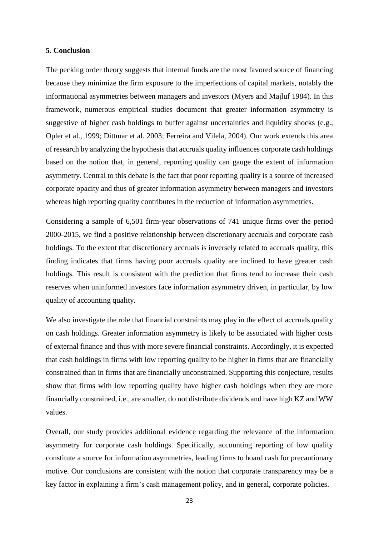### **5. Conclusion**

The pecking order theory suggests that internal funds are the most favored source of financing because they minimize the firm exposure to the imperfections of capital markets, notably the informational asymmetries between managers and investors (Myers and Majluf 1984). In this framework, numerous empirical studies document that greater information asymmetry is suggestive of higher cash holdings to buffer against uncertainties and liquidity shocks (e.g., Opler et al., 1999; Dittmar et al. 2003; Ferreira and Vilela, 2004). Our work extends this area of research by analyzing the hypothesis that accruals quality influences corporate cash holdings based on the notion that, in general, reporting quality can gauge the extent of information asymmetry. Central to this debate is the fact that poor reporting quality is a source of increased corporate opacity and thus of greater information asymmetry between managers and investors whereas high reporting quality contributes in the reduction of information asymmetries.

Considering a sample of 6,501 firm-year observations of 741 unique firms over the period 2000-2015, we find a positive relationship between discretionary accruals and corporate cash holdings. To the extent that discretionary accruals is inversely related to accruals quality, this finding indicates that firms having poor accruals quality are inclined to have greater cash holdings. This result is consistent with the prediction that firms tend to increase their cash reserves when uninformed investors face information asymmetry driven, in particular, by low quality of accounting quality.

We also investigate the role that financial constraints may play in the effect of accruals quality on cash holdings. Greater information asymmetry is likely to be associated with higher costs of external finance and thus with more severe financial constraints. Accordingly, it is expected that cash holdings in firms with low reporting quality to be higher in firms that are financially constrained than in firms that are financially unconstrained. Supporting this conjecture, results show that firms with low reporting quality have higher cash holdings when they are more financially constrained, i.e., are smaller, do not distribute dividends and have high KZ and WW values.

Overall, our study provides additional evidence regarding the relevance of the information asymmetry for corporate cash holdings. Specifically, accounting reporting of low quality constitute a source for information asymmetries, leading firms to hoard cash for precautionary motive. Our conclusions are consistent with the notion that corporate transparency may be a key factor in explaining a firm's cash management policy, and in general, corporate policies.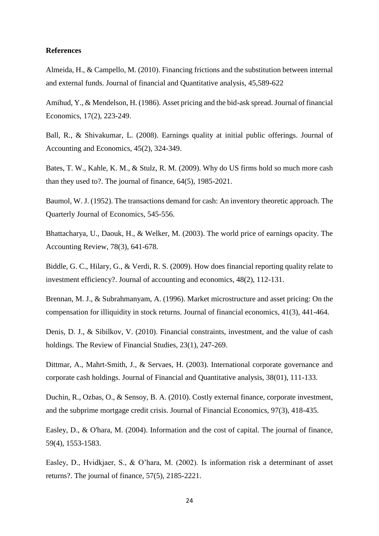### **References**

Almeida, H., & Campello, M. (2010). Financing frictions and the substitution between internal and external funds. Journal of financial and Quantitative analysis, 45,589-622

Amihud, Y., & Mendelson, H. (1986). Asset pricing and the bid-ask spread. Journal of financial Economics, 17(2), 223-249.

Ball, R., & Shivakumar, L. (2008). Earnings quality at initial public offerings. Journal of Accounting and Economics, 45(2), 324-349.

Bates, T. W., Kahle, K. M., & Stulz, R. M. (2009). Why do US firms hold so much more cash than they used to?. The journal of finance, 64(5), 1985-2021.

Baumol, W. J. (1952). The transactions demand for cash: An inventory theoretic approach. The Quarterly Journal of Economics, 545-556.

Bhattacharya, U., Daouk, H., & Welker, M. (2003). The world price of earnings opacity. The Accounting Review, 78(3), 641-678.

Biddle, G. C., Hilary, G., & Verdi, R. S. (2009). How does financial reporting quality relate to investment efficiency?. Journal of accounting and economics, 48(2), 112-131.

Brennan, M. J., & Subrahmanyam, A. (1996). Market microstructure and asset pricing: On the compensation for illiquidity in stock returns. Journal of financial economics, 41(3), 441-464.

Denis, D. J., & Sibilkov, V. (2010). Financial constraints, investment, and the value of cash holdings. The Review of Financial Studies, 23(1), 247-269.

Dittmar, A., Mahrt-Smith, J., & Servaes, H. (2003). International corporate governance and corporate cash holdings. Journal of Financial and Quantitative analysis, 38(01), 111-133.

Duchin, R., Ozbas, O., & Sensoy, B. A. (2010). Costly external finance, corporate investment, and the subprime mortgage credit crisis. Journal of Financial Economics, 97(3), 418-435.

Easley, D., & O'hara, M. (2004). Information and the cost of capital. The journal of finance, 59(4), 1553-1583.

Easley, D., Hvidkjaer, S., & O'hara, M. (2002). Is information risk a determinant of asset returns?. The journal of finance, 57(5), 2185-2221.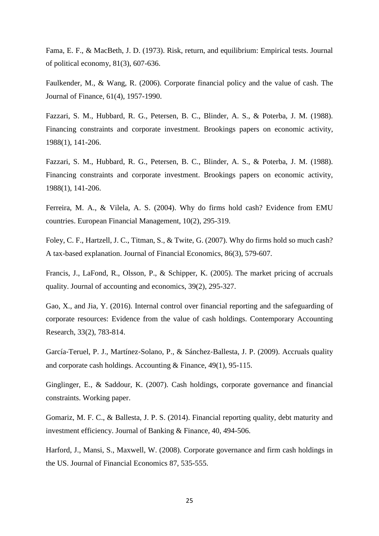Fama, E. F., & MacBeth, J. D. (1973). Risk, return, and equilibrium: Empirical tests. Journal of political economy, 81(3), 607-636.

Faulkender, M., & Wang, R. (2006). Corporate financial policy and the value of cash. The Journal of Finance, 61(4), 1957-1990.

Fazzari, S. M., Hubbard, R. G., Petersen, B. C., Blinder, A. S., & Poterba, J. M. (1988). Financing constraints and corporate investment. Brookings papers on economic activity, 1988(1), 141-206.

Fazzari, S. M., Hubbard, R. G., Petersen, B. C., Blinder, A. S., & Poterba, J. M. (1988). Financing constraints and corporate investment. Brookings papers on economic activity, 1988(1), 141-206.

Ferreira, M. A., & Vilela, A. S. (2004). Why do firms hold cash? Evidence from EMU countries. European Financial Management, 10(2), 295-319.

Foley, C. F., Hartzell, J. C., Titman, S., & Twite, G. (2007). Why do firms hold so much cash? A tax-based explanation. Journal of Financial Economics, 86(3), 579-607.

Francis, J., LaFond, R., Olsson, P., & Schipper, K. (2005). The market pricing of accruals quality. Journal of accounting and economics, 39(2), 295-327.

Gao, X., and Jia, Y. (2016). Internal control over financial reporting and the safeguarding of corporate resources: Evidence from the value of cash holdings. Contemporary Accounting Research, 33(2), 783-814.

García‐Teruel, P. J., Martínez‐Solano, P., & Sánchez‐Ballesta, J. P. (2009). Accruals quality and corporate cash holdings. Accounting & Finance, 49(1), 95-115.

Ginglinger, E., & Saddour, K. (2007). Cash holdings, corporate governance and financial constraints. Working paper.

Gomariz, M. F. C., & Ballesta, J. P. S. (2014). Financial reporting quality, debt maturity and investment efficiency. Journal of Banking & Finance, 40, 494-506.

Harford, J., Mansi, S., Maxwell, W. (2008). Corporate governance and firm cash holdings in the US. Journal of Financial Economics 87, 535-555.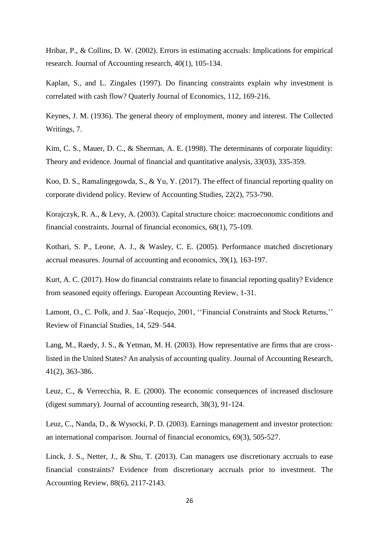Hribar, P., & Collins, D. W. (2002). Errors in estimating accruals: Implications for empirical research. Journal of Accounting research, 40(1), 105-134.

Kaplan, S., and L. Zingales (1997). Do financing constraints explain why investment is correlated with cash flow? Quaterly Journal of Economics, 112, 169-216.

Keynes, J. M. (1936). The general theory of employment, money and interest. The Collected Writings, 7.

Kim, C. S., Mauer, D. C., & Sherman, A. E. (1998). The determinants of corporate liquidity: Theory and evidence. Journal of financial and quantitative analysis, 33(03), 335-359.

Koo, D. S., Ramalingegowda, S., & Yu, Y. (2017). The effect of financial reporting quality on corporate dividend policy. Review of Accounting Studies, 22(2), 753-790.

Korajczyk, R. A., & Levy, A. (2003). Capital structure choice: macroeconomic conditions and financial constraints. Journal of financial economics, 68(1), 75-109.

Kothari, S. P., Leone, A. J., & Wasley, C. E. (2005). Performance matched discretionary accrual measures. Journal of accounting and economics, 39(1), 163-197.

Kurt, A. C. (2017). How do financial constraints relate to financial reporting quality? Evidence from seasoned equity offerings. European Accounting Review, 1-31.

Lamont, O., C. Polk, and J. Saa´-Requejo, 2001, ''Financial Constraints and Stock Returns,'' Review of Financial Studies, 14, 529–544.

Lang, M., Raedy, J. S., & Yetman, M. H. (2003). How representative are firms that are crosslisted in the United States? An analysis of accounting quality. Journal of Accounting Research, 41(2), 363-386.

Leuz, C., & Verrecchia, R. E. (2000). The economic consequences of increased disclosure (digest summary). Journal of accounting research, 38(3), 91-124.

Leuz, C., Nanda, D., & Wysocki, P. D. (2003). Earnings management and investor protection: an international comparison. Journal of financial economics, 69(3), 505-527.

Linck, J. S., Netter, J., & Shu, T. (2013). Can managers use discretionary accruals to ease financial constraints? Evidence from discretionary accruals prior to investment. The Accounting Review, 88(6), 2117-2143.